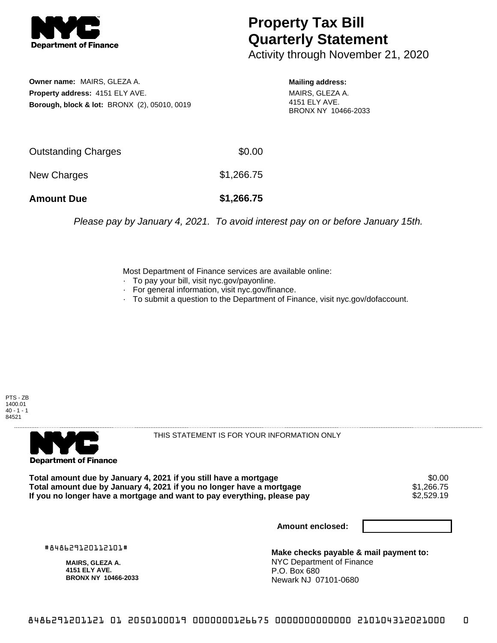

## **Property Tax Bill Quarterly Statement**

Activity through November 21, 2020

**Owner name:** MAIRS, GLEZA A. **Property address:** 4151 ELY AVE. **Borough, block & lot:** BRONX (2), 05010, 0019 **Mailing address:**

MAIRS, GLEZA A. 4151 ELY AVE. BRONX NY 10466-2033

| <b>Amount Due</b>   | \$1,266.75 |
|---------------------|------------|
| New Charges         | \$1,266.75 |
| Outstanding Charges | \$0.00     |

Please pay by January 4, 2021. To avoid interest pay on or before January 15th.

Most Department of Finance services are available online:

- · To pay your bill, visit nyc.gov/payonline.
- For general information, visit nyc.gov/finance.
- · To submit a question to the Department of Finance, visit nyc.gov/dofaccount.





THIS STATEMENT IS FOR YOUR INFORMATION ONLY

Total amount due by January 4, 2021 if you still have a mortgage \$0.00<br>Total amount due by January 4, 2021 if you no longer have a mortgage \$1.266.75 **Total amount due by January 4, 2021 if you no longer have a mortgage \$1,266.75<br>If you no longer have a mortgage and want to pay everything, please pay \$2,529.19** If you no longer have a mortgage and want to pay everything, please pay

**Amount enclosed:**

#848629120112101#

**MAIRS, GLEZA A. 4151 ELY AVE. BRONX NY 10466-2033**

**Make checks payable & mail payment to:** NYC Department of Finance P.O. Box 680 Newark NJ 07101-0680